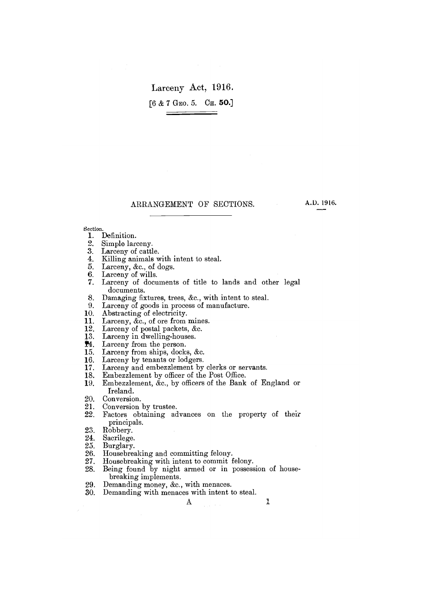Larceny Act, 1916.

 $[6 \& 7 \text{ G}$ EO. 5. CH. 50.]

## ARRANGEMENT OF SECTIONS. A.D. 1916.

Section.

- 1. Definition.
- 2. Simple larceny.<br>3. Larceny of cattl
- 3. Larceny of cattle.<br>4. Killing animals w
- 4. Killing animals with intent to steal.<br>5. Larceny, &c., of dogs.
- 5. Larceny, &c., of dogs.<br>6. Larceny of wills.
- 6. Larceny of wills.
- Larceny of documents of title to lands and other legal documents.
- 8. Damaging fixtures, trees, &c., with intent to steal.<br>9. Larceny of goods in process of manufacture.
- 9. Larceny of goods in process of manufacture.<br>10. Abstracting of electricity.
- 
- 10. Abstracting of electricity.<br>11. Larceny, &c., of ore from 11. Larceny, &c., of ore from mines.<br>12. Larceny of postal packets, &c.
- Larceny of postal packets, &c.
- 13. Larceny in dwelling-houses.<br>**14.** Larceny from the person.
- Larceny from the person.
- 15. Larceny from ships, docks, &c.<br>16. Larceny by tenants or lodgers.
- 16. Larceny by tenants or lodgers.<br>17. Larceny and embezzlement by
- Larceny and embezzlement by clerks or servants.
- 
- 18. Embezzlement by officer of the Post Office.<br>19. Embezzlement, &c., by officers of the Bank Embezzlement, &c., by officers of the Bank of England or Ireland.
- 20. Conversion.<br>21. Conversion
- 
- 21. Conversion by trustee.<br>22. Factors obtaining ad Factors obtaining advances on the property of their principals.
- 
- 23. Robbery.<br>24. Sacrilege 24. Sacrilege.<br>25. Burglary.
- 

 $\bar{\nu}$ 

- 25. Burglary. 26. Housebreaking and committing felony.<br>27. Housebreaking with intent to commit f
- 27. Housebreaking with intent to commit felony.

 $\alpha$ 

28. Being found by night armed or in possession of housebreaking implements.

A

- 29. Demanding money, &c., with menaces.
- 30. Demanding with menaces with intent to steal.

J.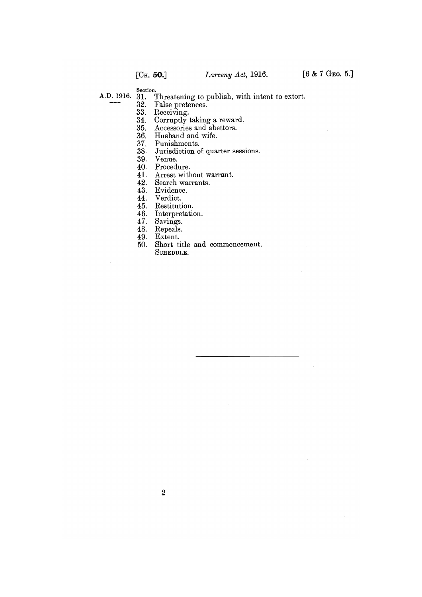Section. A.D. 1916. 31. Threatening to publish, with intent to extort.

- 32. False pretences.<br>33. Receiving.
- 33. Receiving.
- 34. Corruptly taking a reward.
- 35. Accessories and abettors.
- 36. Husband and wife.<br>37. Punishments.
- 
- 37. Punishments.<br>38. Jurisdiction o 38. Jurisdiction of quarter sessions.<br>39. Venue.
- Venue.
- 
- 40. Procedure.<br>41. Arrest with 41. Arrest without warrant.<br>42. Search warrants.
- 42. Search warrants.
- 
- 43. Evidence.<br>44. Verdict. Verdict.
- 45. Restitution.
- 46. Interpretation.
- 47. Savings.
- 48. Repeals.
- 49. Extent.
- 
- 50. Short title and commencement.
	- SCHEDULE.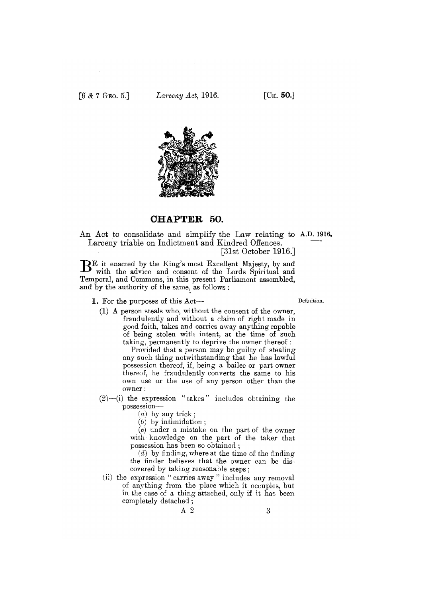

CHAPTER 50.

An Act to consolidate and simplify the Law relating to A.D. 1916. Larceny triable on Indictment and Kindred Offences. [31st October 1916.]

BE it enacted by the King's most Excellent Majesty, by and with the advice and consent of the Lords Spiritual and Temporal, and Commons, in this present Parliament assembled, and by the authority of the same, as follows:

1. For the purposes of this Act— $\qquad$  Definition.

(1) A person steals who, without the consent of the owner, fraudulently and without a claim of right made in good faith, takes and carries away anything capable of being stolen with intent, at the time of such taking, permanently to deprive the owner thereof:

Provided that a person may be guilty of stealing any such thing notwithstanding that he has lawful possession thereof, if, being a bailee or part owner thereof, he fraudulently converts the same to his own use or the use of any person other than the owner:

 $(2)$ —(i) the expression "takes" includes obtaining the possession—

(a) by any trick;

 $(b)$  by intimidation;

(e) under a mistake on the part of the owner with knowledge on the part of the taker that possession has been so obtained

 $(d)$  by finding, where at the time of the finding the finder believes that the owner can be discovered by taking reasonable steps;

(ii) the expression "carries away" includes any removal of anything from the place which it occupies, but in the case of a thing attached, only if it has been completely detached;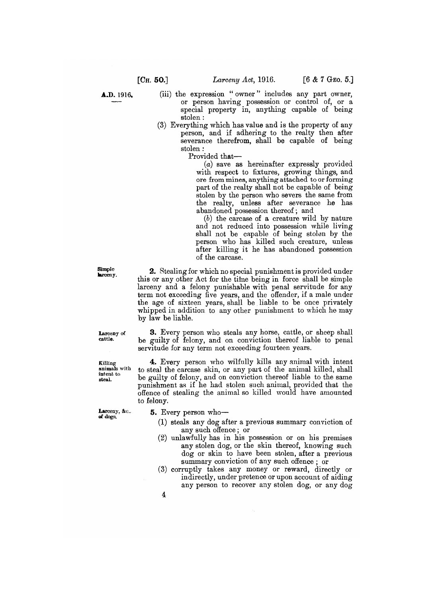A.D. 1916. (iii) the expression "owner" includes any part owner, or person having possession or control of, or a special property in, anything capable of being stolen:

> (3) Everything which has value and is the property of any person, and if adhering to the realty then after severance therefrom, shall be capable of being stolen:

> > Provided that—

(a) save as hereinafter expressly provided with respect to fixtures, growing things, and ore from mines, anything attached to or forming part of the realty shall not be capable of being stolen by the person who severs the same from the realty, unless after severance he has abandoned possession thereof; and

 $(b)$  the carcase of a creature wild by nature and not reduced into possession while living shall not be capable of being stolen by the person who has killed such creature, unless after killing it he has abandoned possession of the carcase.

2. Stealing for which no special punishment is provided under this or any other Act for the tune being in force shall be simple larceny and a felony punishable with penal servitude for any term not exceeding five years, and the offender, if a male under the age of sixteen years, shall be liable to be once privately whipped in addition to any other punishment to which he may by law be liable.

**Larceny of 3.** Every person who steals any horse, cattle, or sheep shall cattle, be guilty of felony, and on conviction thereof liable to penal servitude for any term not exceeding fourteen years.

Killing 4. Every person who wilfully kills any animal with intent<br>animals with to steal the carcase skin, or any part of the animal killed, shall animals with to steal the carcase skin, or any part of the animal killed, shall be guilty of felony, and on conviction thereof liable to the same punishment as if he had stolen such animal, provided that the offence of stealing the animal so killed would have amounted to felony.

steal.

Larceny, &c..  $\qquad 5.$  Every person who-

- $(1)$  steals any dog after a previous summary conviction of any such offence; or
- (2) unlawfully has in his possession or on his premises any stolen dog, or the skin thereof, knowing such dog or skin to have been stolen, after a previous summary conviction of any such offence; or
- (3) corruptly takes any money or reward, directly or indirectly, under pretence or upon account of aiding any person to recover any stolen dog, or any dog
- 4

Simple larceny.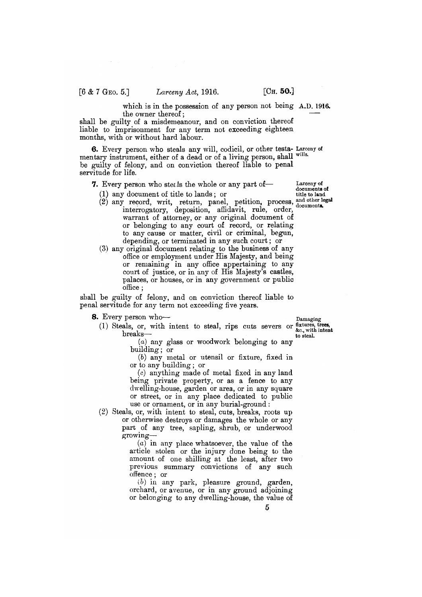which is in the possession of any person not being A.D. 1916. the owner thereof;

shall be guilty of a misdemeanour, and on conviction thereof liable to imprisonment for any term not exceeding eighteen months, with or without hard labour.

6. Every person who steals any will, codicil, or other testa- Larceny of mentary instrument, either of a dead or of a living person, shall wills. be guilty of felony, and on conviction thereof liable to penal servitude for life.

7. Every person who steals the whole or any part of - Larceny of

- $(1)$  any document of title to lands; or
- $(2)$  any record, writ, return, panel, petition, process, and other legal interrogatory, deposition, affidavit, rule, order, warrant of attorney, or any original document of or belonging to any court of record, or relating to any cause or matter, civil or criminal, begun, depending, or terminated in any such court; or
- (3) any original document relating to the business of any office or employment under His Majesty, and being or remaining in any office appertaining to any court of justice, or in any of His Majesty's castles, palaces, or houses, or in any government or public office;

shall be guilty of felony, and on conviction thereof liable to penal servitude for any term not exceeding five years.

8. Every person who—

(1) Steals, or, with intent to steal, rips cuts severs or  $\frac{fixtures}{xc}$ , with intent breaks—<br>breaks— to steal.

(a) any glass or woodwork belonging to any building; or

(b) any metal or utensil or fixture, fixed in or to any building; or

(c) anything made of metal fixed in any land being private property, or as a fence to any dwelling-house, garden or area, or in any square or street, or in any place dedicated to public use or ornament, or in any burial-ground:

(2) Steals, or, with intent to steal, cuts, breaks, roots up or otherwise destroys or damages the whole or any part of any tree, sapling, shrub, or underwood growing—

> (a) in any place whatsoever, the value of the article stolen or the injury done being to the amount of one shilling at the least, after two previous summary convictions of any such offence; or

> (b) in any park, pleasure ground, garden, orchard, or avenue, or in any ground adjoining or belonging to any dwelling-house, the value of

> > 5

documents of<br>title to land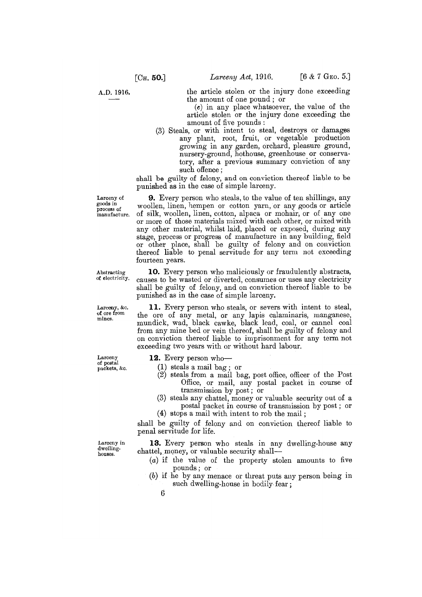A.D. 1916. the article stolen or the injury done exceeding the amount of one pound; or

 $(e)$  in any place whatsoever, the value of the article stolen or the injury done exceeding the amount of five pounds:

(3) Steals, or with intent to steal, destroys or damages any plant, root, fruit, or vegetable production growing in any garden, Orchard, pleasure ground, nursery-ground, hothouse, greenhouse or conservatory, after a previous summary conviction of any such offence;

shall be guilty of felony, and on conviction thereof liable to be punished as in the case of simple larceny.

Larceny of 9. Every person who steals, to the value of ten shillings, any goods in recaller linear homon or estimate when  $\frac{1}{2}$ woollen, linen, hempen or cotton yarn, or any goods or article process of woollen, linen, usinglen or cotton yarn, or any goods or article manufacture, of silk, woollen, linen, cotton, alpaca or mohair, or of any one or more of those materials mixed with each other, or mixed with any other material, whilst laid, placed or exposed, during any stage, process or progress of manufacture in any building, field or other place, shall be guilty of felony and on conviction thereof liable to penal servitude for any term not exceeding fourteen years.

Abstracting **10.** Every person who maliciously or fraudulently abstracts, of electricity, causes to be wasted or diverted consumes or uses any electricity causes to be wasted or diverted, consumes or uses any electricity shall be guilty of felony, and on conviction thereof liable to be punished as in the case of simple larceny.

Larceny, &c. **11.** Every person who steals, or severs with intent to steal, of ore from the same of one matel on any lanis colominarie, management of ore from the ore of any metal, or any lapis calaminaris, manganese, mundick, wad, black cawke, black lead, coal, or cannel coal from any mine bed or vein thereof, shall be guilty of felony and on conviction thereof liable to imprisonment for any term not exceeding two years with or without hard labour.

Larceny 12. Every person who—<br>
of postal packets, &c. (1) steals a mail bag;

- $(1)$  steals a mail bag; or
- (2) steals from a mail bag, post office, officer of the Post Office, or mail, any postal packet in course of transmission by post; or
- (3) steals any chattel, money or valuable security out of a postal packet in course of transmission by post ; or (4) stops a mail with intent to rob the mail;

shall be guilty of felony and on conviction thereof liable to penal servitude for life.

Larceny in **13.** Every person who steals in any dwelling-house any dwellingdwelling-<br>houses. chattel, money, or valuable security shall-

- (a) if the value of the property stolen amounts to five pounds; or
- (b) if he by any menace or threat puts any person being in such dwelling-house in bodily fear;
	- 6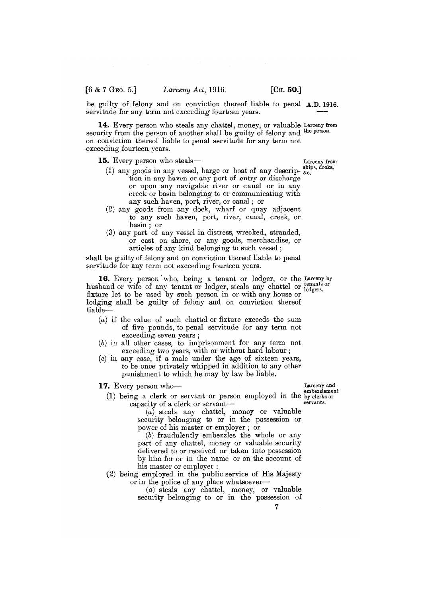be guilty of felony and on conviction thereof liable to penal A.D. 1916. servitude for any term not exceeding fourteen years.

14. Every person who steals any chattel, money, or valuable Larceny from security from the person of another shall be guilty of felony and the person. on conviction thereof liable to penal servitude for any term not exceedmg fourteen years.

- 15. Every person who steals—<br>(1) one goods in our receal horne or heat of our descriptions, docks, (1) any goods in any vessel, barge or boat of any descrip- $\frac{\text{ships}}{\text{etc.}}$ tion in any haven or any port of entry or discharge or upon any navigable river or canal or in any creek or basin belonging to or communicating with any such haven, port, river, or canal; or
	- (2) any goods from any dock, wharf or quay adjacent to any such haven, port, river, canal, creek, or basin; or
	- (3) any part of any vessel in distress, wrecked, stranded, or cast on shore, or any goods, merchandise, or articles of any kind belonging to such vessel;

shall be guilty of felony and on conviction thereof liable to penal servitude for any term not exceeding fourteen years.

16. Every person who, being a tenant or lodger, or the Larceny by husband or wife of any tenant or lodger, steals any chattel or tenants or fixture let to be used by such person in or with any house or lodging shall be guilty of felony and on conviction thereof liable—

- (a) if the value of such chattel or fixture exceeds the sum of five pounds, to penal servitude for any term not exceeding seven years;
- (b) in all other cases, to imprisonment for any term not exceeding two years, with or without hard labour;
- (e) in any case, if a male under the age of sixteen years, to be once privately whipped in addition to any other punishment to which he may by law be liable.

17. Every person who— Larceny and

 $(1)$  being a clerk or servant or person employed in the by clerks or servants. capacity of a clerk or servant-

> (a) steals any chattel, money or valuable security belonging to or in the possession or power of his master or employer; or

> (b) fraudulently embezzles the whole or any part of any chattel, money or valuable security delivered to or received or taken into possession by him for or in the name or on the account of his master or employer :

(2) being employed in the public service of His Majesty or in the police of any place whatsoever—

(a) steals any chattel, money, or valuable security belonging to or in the possession of

7

embezzlement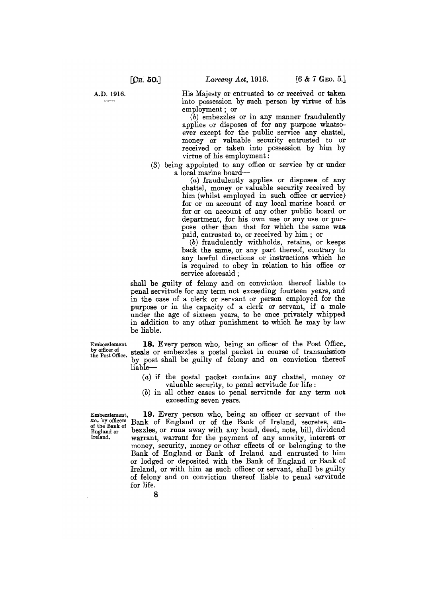A.D. 1916. **His Majesty or entrusted to or received or taken** into possession by such person by virtue of his employment; or

 $(b)$  embezzles or in any manner fraudulently applies or disposes of for any purpose whatsoever except for the public service any chattel, money or valuable security entrusted to or received or taken into possession by him by virtue of his employment:

(3) being appointed to any office or service by or under a local marine board—

(a) fraudulently applies or disposes of any chattel, money or valuable security received by him (whilst employed in such office or service) for or on account of any local marine board or for or on account of any other public board or department, for his own use or any use or purpose other than that for which the same waspaid, entrusted to, or received by him; or

(b) fraudulently withholds, retains, or keeps back the same, or any part thereof, contrary to any lawful directions or instructions which he is required to obey in relation to his office or service aforesaid;

shall be guilty of felony and on conviction thereof liable to penal servitude for any term not exceeding fourteen years, and in the case of a clerk or servant or person employed for the purpose or in the capacity of a clerk or servant, if a male under the age of sixteen years, to be once privately whipped in addition to any other punishment to which he may by law be liable.

the Post Office.

Embezzlement **18.** Every person who, being an officer of the Post Office,<br>by officer of steals or embezzles a postal packet in course of transmission steals or embezzles a postal packet in course of transmission by post shall be guilty of felony and on conviction thereof liable—

- (a) if the postal packet contains any chattel, money or valuable security, to penal servitude for life:
- (b) in all other cases to penal servitude for any term not. exceeding seven years.

Embezzlement, **19.** Every person who, being an officer or servant of the  $\&c_n$  by officers Bonk of England or of the Bank of Ireland secretes em-&c., by officers Bank of England or of the Bank of Ireland, secretes, em-<br>of the Bank of bezzles, or runs away with any bond, deed, note, bill, dividend England or bezzles, or runs away with any bond, deed, note, bill, dividend reland. warrant, warrant for the payment of any annuity, interest or warrant, warrant for the payment of any annuity, interest or money, security, money or other effects of or belonging to the Bank of England or Bank of Ireland and entrusted to him or lodged or deposited with the Bank of England or Bank of Ireland, or with him as such officer or servant, shall be guilty of felony and on conviction thereof liable to penal servitude for life.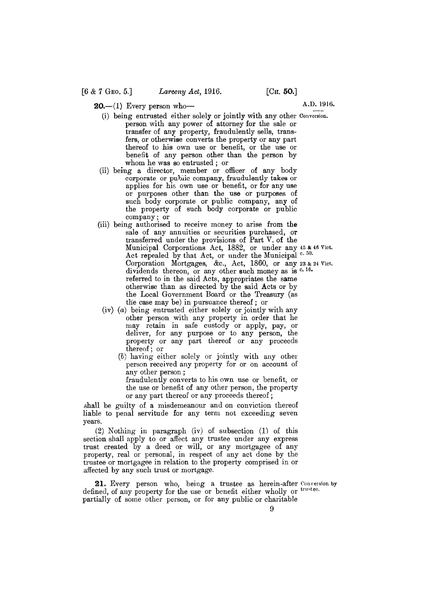**20.**—(1) Every person who—  $A.D. 1916$ .

- (i) being entrusted either solely or jointly with any other Conversion. person with any power of attorney for the sale or transfer of any property, fraudulently sells, transfers, or otherwise converts the property or any part thereof to his own use or benefit, or the use or benefit of any person other than the person by whom he was so entrusted; or
- (ii) being a director, member or officer of any body corporate or puhiic company, fraudulently takes or applies for his own use or benefit, or for any use or purposes other than the use or purposes of such body corporate or public company, any of the property of such body corporate or public company; or
- (iii) being authorised to receive money to arise from the sale of any annuities or securities purchased, or transferred under the provisions of Part V. of the Municipal Corporations Act, 1882, or under any 45 & 46 Vict. Act repealed by that Act, or under the Municipal c. 50. Corporation Mortgages, &c., Act, 1860, or any <sup>23</sup>& 24 Vict. dividends thereon, or any other such money as is c. 16. referred to in the said Acts, appropriates the same otherwise than as directed by the said Acts or by the Local Government Board or the Treasury (as the case may be) in pursuance thereof; or
	- (iv) (a) being entrusted either solely or jointly with any other person with any property in order that he may retain in safe custody or apply, pay, or deliver, for any purpose or to any person, the property or any part thereof or any proceeds thereof; or
		- (b) having either solely or jointly with any other person received any property for or on account of any other person;

fraudulently converts to his own use or benefit, or the use or benefit of any other person, the property or any part thereof or any proceeds thereof;

shall be guilty of a misdemeanour and on conviction thereof liable to penal servitude for any term not exceeding seven years.

 $(2)$  Nothing in paragraph (iv) of subsection  $(1)$  of this section shall apply to or affect any trustee under any express trust created by a deed or will, or any mortgagee of any property, real or personal, in respect of any act done by the trustee or mortgagee in relation to the property comprised in or affected by any such trust or mortgage.

21. Every person who, being a trustee as herein-after Conversion by defined, of any property for the use or benefit either wholly or trustee. partially of some other person, or for any public or charitable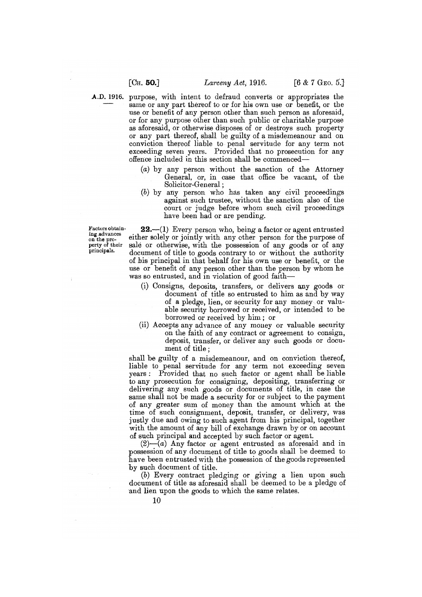.A.D. 1916. purpose, with intent to defraud converts or appropriates the same or any part thereof to or for his own use or benefit, or the use or benefit of any person other than such person as aforesaid, or for any purpose other than such public or charitable purpose as aforesaid, or otherwise disposes of or destroys such property or any part thereof, shall be guilty of a misdemeanour and on conviction Ihereof liable to penal servitude for any term not exceeding seven years. Provided that no prosecution for any offence included in this section shall be commenced-

- (a) by any person without the sanction of the Attorney General, or, in case that office be vacant, of the Solicitor-General;
- (b) by any person who has taken any civil proceedings against such trustee, without the sanction also of the court or judge before whom such civil proceedings have been had or are pending.

Factors obtain-<br>  $22$ .  $-(1)$  Every person who, being a factor or agent entrusted<br>
ing advances<br>
of the person for the person of ing advances either solely or jointly with any other person for the purpose of perty of their sale or otherwise, with the possession of any goods or of any perty of their sale or otherwise, with the possession of any goods or of any principals. document of title to goods contrary to any without the authority document of title to goods contrary to or without the authority of his principal in that behalf for his own use or benefit, or the use or benefit of any person other than the person by whom he was so entrusted, and in violation of good faith—

- (i) Consigns, deposits, transfers, or delivers any goods or document of title so entrusted to him as and by way of a pledge, lien, or security for any money. or valuable security borrowed or received, or intended to be borrowed or received by him; or
- (ii) Accepts any advance of any money or valuable security on the faith of any contract or agreement to consign, deposit, transfer, or deliver any such goods or document of title:

shall be guilty of a misdemeanour, and on conviction thereof, liable to penal servitude for any term not exceeding seven years: Provided that no such factor or agent shall be liable to any prosecution for consigning, depositing, transferring or delivering any such goods or documents of title, in case the same shall not be made a security for or subject to the payment of any greater sum of money than the amount which at the time of such consignment, deposit, transfer, or delivery, was justly due and owing to such agent from his principal, together with the amount of any bill of exchange drawn by or on account of such principal and accepted by such factor or agent.

 $(2)$ — $(a)$  Any factor or agent entrusted as aforesaid and in possession of any document of title to goods shall be deemed to have been entrusted with the possession of the goods represented by such document of title.

(b) Every contract pledging or giving a lien upon such document of title as aforesaid shall be deemed to be a pledge of 'and lien upon the goods to which the same relates.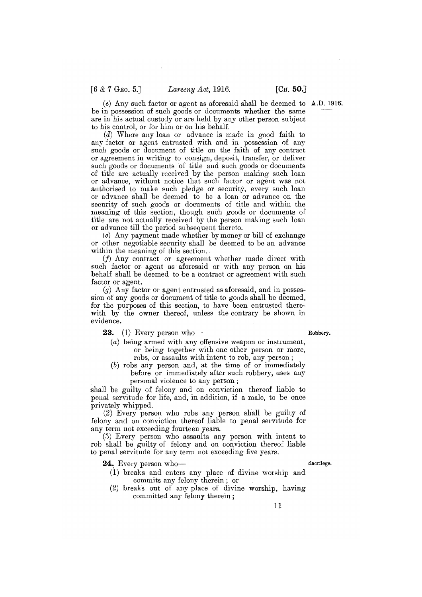$(c)$  Any such factor or agent as aforesaid shall be deemed to  $A.D. 1916$ . be in possession of such goods or documents whether the same are in his actual custody or are held by any other person subject to his control, or for him or on his behalf.

(d) Where any loan or advance is made in good faith to any factor or agent entrusted with and in possession of any such. goods or document of title on the faith of any contract or agreement in writing to consign, deposit, transfer, or deliver such goods or documents of title and such goods or documents of title are actually received by the person making such loan or advance, without notice that such factor or agent was not authorised to make such pledge or security, every such loan or advance shall be deemed to be a loan or advance on the security of such goods or documents of title and within the meaning of this section, though such goods or documents of title are not actually received by the person making such loan or advance till the period subsequent thereto.

(e) Any payment made whether by money or bill of exchange or other negotiable security shall be deemed to be an advance within the meaning of this section.

(f) Any contract' or agreement whether made direct with such factor or agent as aforesaid or with any person on his behalf shall be deemed to be a contract or agreement with such factor or agent.

(g) Any factor or agent entrusted as aforesaid, and in possession of any goods or document of title to goods shall be deemed, for the purposes of this section, to have been entrusted therewith by the owner thereof, unless the contrary be shown in evidence.

**23.**—(1) Every person who—  $\blacksquare$ 

- (a) being armed with any offensive weapon or instrument, or being together with one other person or more,
- robs, or assaults with intent to rob, any person; (b) robs any person and, at the time of or immediately before or immediately after such robbery, uses any personal violence to any person;

shall be guilty of felony and on conviction thereof liable to penal servitude for life, and, in addition, if a male, to be once privately whipped.

(2) Every person who robs any person shall be guilty of felony and on conviction thereof liable to penal servitude for any term not exceeding fourteen years.

(3) Every person who assaults any person with intent to rob shall be guilty of felony and on conviction thereof liable to penal servitude for any term not exceeding five years.

24. Every person who— Sacrilege.

- 
- (1) breaks and enters any place of divine worship and commits any felony therein; or
- (2) breaks out of any place of divine worship, having committed any felony therein;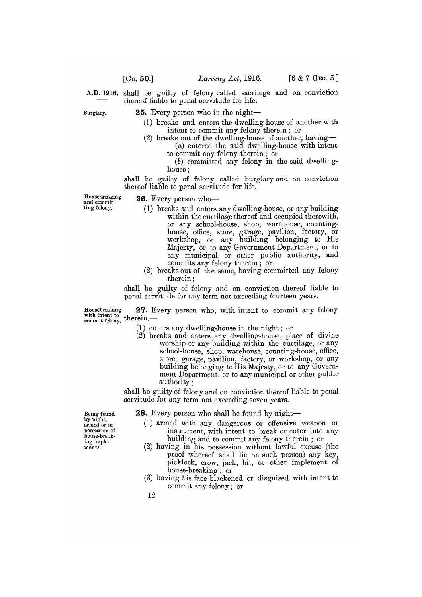A.D. 1916. shall be gaiLy of felony called sacrilege and on conviction thereof liable to penal servitude for life.

Burglary.

25. Every person who in the night—

- (1) breaks and enters the dwelling-house of another with intent to commit any felony therein; or
- (2) breaks out of the dwelling-house of another, having— (a) entered the said dwelling-house with intent to commit any felony therein; or
	- (b) committed any felony in the said dwellinghouse;

shall be guilty of felony called burglary and on conviction thereof liable to penal servitude for life.

Housebreaking 26. Every person who-

- 
- ting felony. (1) breaks and enters any dwelling-house, or any building within the curtilage thereof and occupied therewith, or any school-house, shop, warehouse, countinghouse, office, store, garage, pavilion, factory, or workshop, or any building belonging to His Majesty, or to any Government Department, or to any municipal or other public authority, and commits any felony therein; or
	- (2) breaks out of the same, having committed any felony therein;

shall be guilty of felony and on conviction thereof liable to penal servitude for any term not exceeding fourteen years.

Housebreaking 27. Every person who, with intent to commit any felony with intent to therein,—

- (1) enters any dwelling-house in the night; or
- (2) breaks and enters any dwelling-house, place of divine worship or any building within the curtilage, or any school-house, shop, warehouse, counting-house, office, store, garage, pavilion, factory, or workshop, or any building belonging to His Majesty, or to any Government Department, or to any municipal or other public authority;

shall be guilty of felony and on conviction thereof liable to penal servitude for any term not exceeding seven years.

- Being found 28. Every person who shall be found by night—<br>by night,<br>armed or in (1) armed with any dangerous or offensive (1) armed with any dangerous or offensive weapon or possession of instrument, with intent to break or enter into any house-break. building and to commit any felony therein; or
- ing imple-<br>ments. (2) having in his possession without lawful excuse (the proof whereof shall lie on such person) any key, picklock, crow, jack, bit, or other implement of house-breaking; or
	- (3) having his face blackened or disguised with intent to commit any felony; or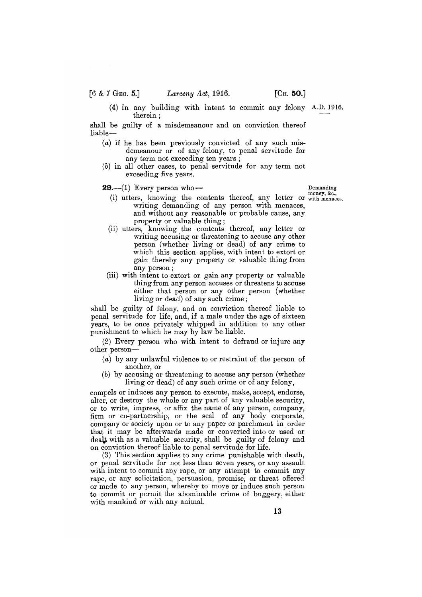(4) in any building with intent to commit any felony AD. 1916.  $therein;$   $---$ 

shall be guilty of a misdemeanour and on conviction thereof liable—

- (a) if he has been previously convicted of any such misdemeanour or of any felony, to penal servitude for any term not exceeding ten years;
- (b) in all other cases, to penal servitude for any term not exceeding five years.

**29.**—(1) Every person who— Demanding

- (i) utters, knowing the contents thereof, any letter or with menaces. writing demanding of any person with menaces, and without any reasonable or probable cause, any property or valuable thing;
- (ii) utters, knowing the contents thereof, any letter or writing accusing or threatening to accuse any other person (whether living or dead) of any crime to which this section applies, with intent to extort or gain thereby any property or valuable thing from any person;
- (iii) with intent to extort or gain any property or valuable thing from any person accuses or threatens to accuse either that person or any other person (whether living or dead) of any such crime;

shall be guilty of felony, and on conviction thereof liable to penal servitude for life, and, if a male under the age of sixteen years, to be once privately whipped in addition to any other punishment to which he may by law be liable.

(2) Every person who with intent to defraud or injure any other person—

- (a) by any unlawful violence to or restraint of the person of another, or
- (b) by accusing or threatening to accuse any person (whether living or dead) of any such crime or of any felony,

compels or induces any person to execute, make, accept, endorse, alter, or destroy the whole or any part of any valuable security, or to write, impress, or affix the name of any person, company, firm or co-partnership, or the seal of any body corporate, company or society upon or to any paper or parchment in order that it may be afterwards made or converted into or used or dealt with as a valuable security, shall be guilty of felony and on conviction thereof liable to penal servitude for life.

(3) This section applies to any crime punishable with death, or penal servitude for not less than seven years, or any assault with intent to commit any rape, or any attempt to commit any rape, or any solicitation, persuasion, promise, or threat offered or made to any person, whereby to move or induce such person to commit or permit the abominable crime of buggery, either with mankind or with any animal.

money. &c..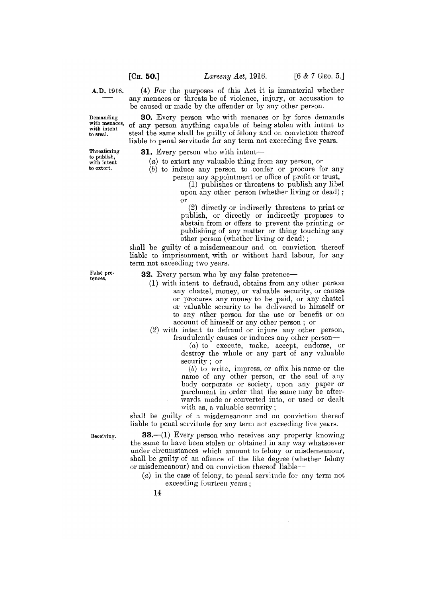A.D. 1916. (4) For the purposes of this Act it is immaterial whether any menaces or threats be of violence, injury, or accusation to be caused or made by the offender or by any other person.

Demanding 30. Every person who with menaces or by force demands<br>with menaces, of any person enything capable of being stolen with intent to with menaces, of any person anything capable of being stolen with intent to  $t_0$  steal, steal the same shall be guilty of felony and on conviction thereof liable to penal servitude for any term not exceeding five years.

to publish,<br>with intent

Threatening 31. Every person who with intent-

- w publish,<br>with intent  $(a)$  to extort any valuable thing from any person, or<br>to extort.  $(b)$  to induce any person to confer or procure for
	- $(b)$  to induce any person to confer or procure for any person any appointment or office of profit or trust,

(1) publishes or threatens to publish any libel upon any other person (whether living or dead); or

(2) directly or indirectly threatens to print or publish, or directly or indirectly proposes to abstain from or offers to prevent the printing or publishing of any matter or thing touching any other person (whether living or dead);

shall be guilty of a misdemeanour and on conviction thereof liable to imprisonment, with or without hard labour, for any term not exceeding two years.

False pre-<br>tences. 32. Every person who by any false pretence—

(1) with intent to defraud, obtains from any other person any chattel, money, or valuable security, or causes or procures any money to be paid, or any chattel or valuable security to be delivered to himself or to any other person for the use or benefit or on account of himself or any other person; or

(2) with intent to defraud or injure any other person, fraudulently causes or induces any other person—

 $(a)$  to execute, make, accept, endorse, or destroy the whole or any part of any valuable security ; or

(b) to write, impress, or affix his name or the name of any other person, or the seal of any body corporate or society, upon any paper or parchment in order that the same may be afterwards made or converted into, or used or dealt with as, a valuable security;

shall be guilty of a misdemeanour and on conviction thereof liable to penal servitude for any term not exceeding five years.

Receiving.  $33-1$  Every person who receives any property knowing the same to have been stolen or obtained in any way whatsoever under circumstances which amount to felony or misdemeanour, shall be guilty of an offence of the like degree (whether felony or misdemeanour) and on conviction thereof liable—

- (a) in the case of felony, to penal servitude for any term not exceeding fourteen years;
	- 14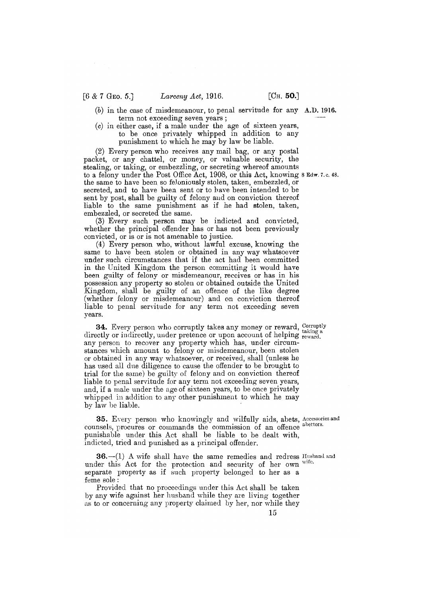- (b) in the case of misdemeanour, to penal servitude for any A.D. 1916. term not exceeding seven years;
- (c) in either case, if a male under the age of sixteen years, to be once privately whipped in addition to any punishment to which he may by law be liable.

(2) Every person who receives any mail bag, or any postal packet, or any chattel, or money, or valuable security, the stealing, or taking, or embezzling, or secreting whereof amounts to a felony under the Post Office Act, 1908, or this Act, knowing 8 Edw. 7.c. 48. the same to have been so feloniously stolen, taken, embezzled, or secreted, and to have been sent or to have been intended to be sent by post, shall be guilty of felony and on conviction thereof liable to the same punishment as if he had stolen, taken, embezzled, or secreted the same.

(3) Every such person may be indicted and convicted, whether the principal offender has or has not been previously convicted, or is or is not amenable to justice.

(4) Every person who, without lawful excuse, knowing the same to have been stolen or obtained in any way whatsoever under such circumstances that if the act had been committed in the United Kingdom the person committing it would have been guilty of felony or misdemeanour, receives or has in his possession any property so stolen or obtained outside the United Kingdom, shall be guilty of an offence of the like degree (whether felony or misdemeanour) and on conviction thereof liable to penal servitude for any term not exceeding seven years.

34. Every person who corruptly takes any money or reward, Corruptly directly or indirectly, under pretence or upon account of helping reward. any person to recover any property which has, under circumstances which amount to felony or misdemeanour, been stolen or obtained in any way whatsoever, or received, shall (unless he has used all due diligence to cause the offender to be brought to trial for the same) be guilty of felony and on conviction thereof liable to penal servitude for any term not exceeding seven years, and, if a male under the age of sixteen years, to be once privately whipped in addition to any other punishment to which he may by law be liable.

35. Every person who knowingly and wilfully aids, abets, Accessories and nsels, procures or commands the commission of an offense abettors. counsels, procures or commands the commission of an offence punishable under this Act shall be liable to be dealt with, indicted, tried and punished as a principal offender.

**36.—(1)** A wife shall have the same remedies and redress Husband and  $\frac{1}{2}$  are this Act for the protection and security of her own wife. under this Act for the protection and security of her own separate property as if such property belonged to her as a feme sole:

Provided that no proceedings under this Act shall be taken by any wife against her husband while they are living together as to or concerning any property claimed by her, nor while they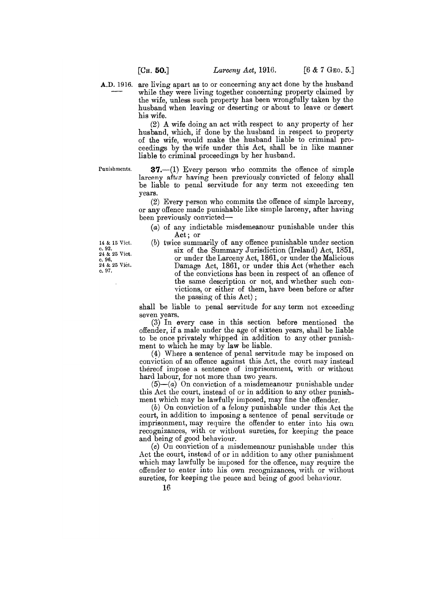A.D. 1916. are living apart as to or concerning any act done by the husband while they were living together concerning property claimed by the wife, unless such property has been wrongfully taken by the husband when leaving or deserting or about to leave or desert his wife.

> (2) A wife doing an act with respect to any property of her husband, which, if done by the husband in respect to property of the wife, would make the husband liable to criminal proceedings by the wife under this Act, shall be in like manner liable to criminal proceedings by her husband.

Punishments. 37.—(1) Every person who commits the offence of simple larceny after having been previously convicted of felony shall be liable to penal servitude for any term not exceeding ten years.

> (2) Every person who commits the offence of simple larceny, or any offence made punishable like simple larceny, after having been previously convicted—

(a) of any indictable misdemeanour punishable under this Act; or

14 & 15 Vict. (b) twice summarily of any offence punishable under section<br>c. 92. <sup>c. 92</sup>.<br>
<sup>24 & 25</sup> Vict. six of the Summary Jurisdiction (Ireland) Act, 1851,<br>
cr under the Larceny Act, 1861, or under this Act (whether each<br>
<sup>24 & 25</sup> Vict. Damage Act. 1861, or under this Act (whether each or under the Larceny Act, 1861, or under the Malicious 24 & 25 Viet. Damage Act,  $1861$ , or under this Act (whether each c. 97. of the convictions has been in respect of an offence of the same description or not, and whether such convictions, or either of them, have been before or after the passing of this Act)

> shall be liable to penal servitude for any term not exceeding seven years.

> (3) In every case in this section before mentioned the offender, if a male under the age of sixteen years, shall be liable to be once privately whipped in addition to any other punishment to which he may by law be liable.

> (4) Where a sentence of penal servitude may be imposed on conviction of an offence against this Act, the court may instead thereof impose a sentence of imprisonment, with or without hard labour, for not more than two years.

> $(5)$ — $(a)$  On conviction of a misdemeanour punishable under this Act the court, instead of or in addition to any other punishment which may be lawfully imposed, may fine the offender.

> $(b)$  On conviction of a felony punishable under this Act the court, in addition to imposing a sentence of penal servitude or imprisonment, may require the offender to enter into his own recognizances, with or without sureties, for keeping the peace and being of good behaviour.

> (c) On conviction of a misdemeanour punishable under this Act the court, instead of or in addition to any other punishment which may lawfully be imposed for the offence, may require the offender to enter into his own recognizances, with or without sureties, for keeping the peace and being of good behaviour.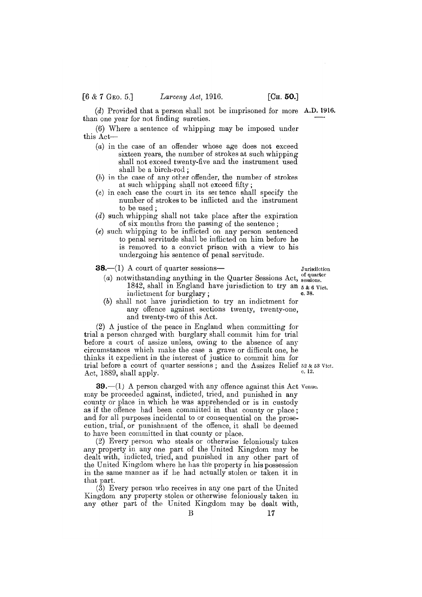(d) Provided that a person shall not be imprisoned for more A.D. 1916. than one year for not finding sureties.

(6) Where a sentence of whipping may be imposed under this Act—

- (a) in the case of an offender whose age does not exceed sixteen years, the number of strokes at such whipping shall not exceed twenty-five and the instrument used shall be a birch-rod;
- (b) in the case of any other offender, the number of strokes at such whipping shall not exceed fifty;
- (c) in each case the court in its set tence shall specify the number of strokes to be inflicted and the instrument to be used;
- (d) such whipping shall not take place after the expiration of six months from the passing of the sentence;
- (e) such whipping to be inflicted on any person sentenced to penal servitude shall be inflicted on him before he is removed to a convict prison with a view to his undergoing his sentence of penal servitude.

- **38.**—(1) A court of quarter sessions— Jurisdiction  $\alpha$  and  $\alpha$  and  $\alpha$  and  $\alpha$  and  $\alpha$  and  $\alpha$  and  $\alpha$  and  $\alpha$  and  $\alpha$  and  $\alpha$  and  $\alpha$  and  $\alpha$  and  $\alpha$  and  $\alpha$  and  $\alpha$  and  $\alpha$  and  $\alpha$  and  $\alpha$  and  $\alpha$  an (a) notwithstanding anything in the Quarter Sessions Act, sessions. 1842, shall in England have jurisdiction to try an  $5 \times 6$  Vict. indictment for burglary;  $\qquad \qquad \bullet$ . 38.
	- (b) shall not have jurisdiction to try an indictment for any offence against sections twenty, twenty-one, and twenty-two of this Act.

(2) A justice of the peace in England when committing for trial a person charged with burglary shall commit him for trial before a court of assize unless, owing to the absence of any circumstances which make the case a grave or difficult one, he thinks it expedient in the interest of justice to commit him for trial before a court of quarter sessions; and the Assizes Relief  $52 \times 53$  Vict.<br>Act  $1880$  shall annly Act, 1889, shall apply.

**39.**—(1) A person charged with any offence against this Act Venue. may be proceeded against, indicted, tried, and punished in any county or place in which he was apprehended or is in custody as if the offence had been committed in that county or place; and for all purposes incidental to or consequential on the prosecution, trial, or punishment of the offence, it shall be deemed to have been committed in that county or place.

(2) Every person who steals or otherwise feloniously takes any property in any one part of the United Kingdom may be dealt with, indicted, tried, and punished in any other part of the United Kingdom where he has the property in his possession in the same manner as if he had actually stolen or taken it in that part.

(3) Every person who receives in any one part of the United Kingdom any property stolen or otherwise feloniously taken in any other part of the United Kingdom may be dealt with,

 $\mathbf{B}$  17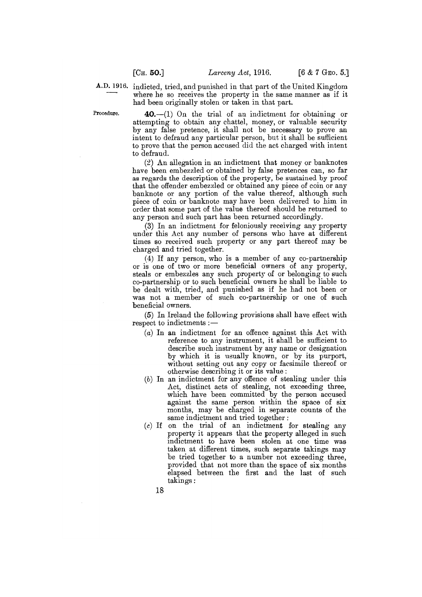A.I). 1916. indicted, tried, and punished in that part of the United Kingdom where he so receives the property in the same manner as if it had been originally stolen or taken in that part.

Procedure.  $40 - (1)$  On the trial of an indictment for obtaining or attempting to obtain any chattel, money, or valuable security by any false pretence, it shall not be necessary to prove an intent to defraud any particular person, but it shall be sufficient to prove that the person accused did the act charged with intent to defraud.

> (2) An allegation in an indictment that money or banknotes have been embezzled or obtained by false pretences can, so far as regards the description of the property, be sustained by proof that the offender embezzled or obtained any piece of coin or any banknote or any portion of the value thereof, although such piece of coin or banknote may have been delivered to him in order that some part of the value thereof should be returned to any person and such part has been returned accordingly.

> (3) In an indictment for feloniously receiving any property under this Act any number of persons who have at different times so received such property or any part thereof may be charged and tried together.

> (4) If any person, who is a member of any co-partnership or is one of two or more beneficial owners of any property, steals or embezzles any such property of or belonging to such co-partnership or to such beneficial owners he shall be liable to be dealt with, tried, and punished as if he had not been or was not a member of such co-partnership or one of such beneficial owners.

> (5) In Ireland the following provisions shall have effect with respect to indictments :—

- (a) In an indictment for an offence against this Act with reference to any instrument, it shall be sufficient to describe such instrument by any name or designation by which it is usually known, or by its purport, without setting out any copy or facsimile thereof or otherwise describing it or its value:
- (b) In an indictment for any offence of stealing under this Act, distinct acts of stealing, not exceeding three, which have been committed by the person accused against the same person within the space of six months, may be charged in separate counts of the same indictment and tried together:
- (c) If on the trial of an indictment for stealing any property it appears that the property alleged in such indictment to have been stolen at one time was taken at different times, such separate takings may be tried together to a number not exceeding three, provided that not more than the space of six months elapsed between the first and the last of such takings:
	- 18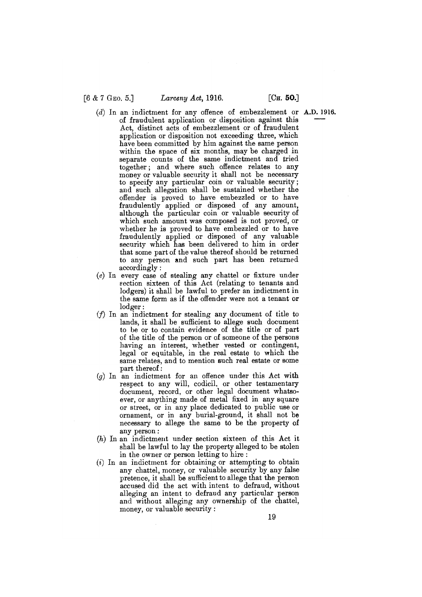- (d) In an indictment for any offence of embezzlement or A.D. 1916. of fraudulent application or disposition against this Act, distinct acts of embezzlement or of fraudulent application or disposition not exceeding three, which have been committed by him against the same person within the space of six months, may be charged in separate counts of the same indictment and tried together; and where such offence relates to any money or valuable security it shall not be necessary to specify any particular coin or valuable security; and such allegation shall be sustained whether the offender is proved to have embezzled or to have fraudulently applied or disposed of any amount, although the particular coin or valuable security of which such amount was composed is not proved, or whether he is proved to have embezzled or to have fraudulently applied or disposed of any valuable security which has been delivered to him in order that some part of the value thereof should be returned to any person such part has been returned accordingly:
- (e) In every case of stealing any chattel or fixture under section sixteen of this Act (relating to tenants and lodgers) it shall be lawful to prefer an indictment in the same form as if the offender were not a tenant or lodger:
- $(f)$  In an indictment for stealing any document of title to lands, it shall be sufficient to allege such document to be or to contain evidence of the title or of part of the title of the person or of someone of the persons having an interest, whether vested or contingent, legal or equitable, in the real estate to which the same relates, and to mention such real estate or some part thereof:
- $(g)$  In an indictment for an offence under this Act with respect to any will, codicil, or other testamentary document, record, or other legal document whatsoever, or anything made of metal fixed in any square or street, or in any place dedicated to public use or ornament, or in any burial-ground, it shall not be necessary to allege the same to be the property of any person:
- (h) In an indictment under section sixteen of this Act it shall be lawful to lay the property alleged to be stolen in the owner or person letting to hire:
- $(i)$  In an indictment for obtaining or attempting to obtain any chattel, money, or valuable security by any false pretence, it shall be sufficient to allege that the person accused did the act with intent to defraud, without alleging an intent to defraud any particular person and without alleging any ownership of the chattel, money, or valuable security: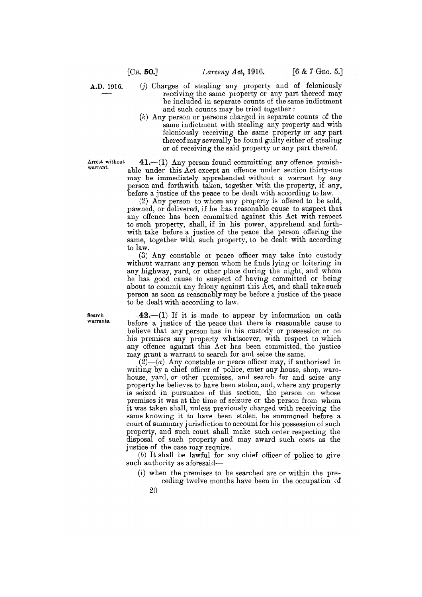- A.D. 1916.  $(i)$  Charges of stealing any property and of feloniously receiving the same property or any part thereof may be included in separate counts of the same indictment and such counts may be tried together:
	- (k) Any person or persons charged in separate counts of the same indictment with stealing any property and with feloniously receiving the same property or any part thereof may severally be found guilty either of stealing or of receiving the said property or any part thereof.

Arrest without  $\mathbf{41}$ .  $\qquad (1)$  Any person found committing any offence punishable under this Act except an offence under section thirty-one may be immediately apprehended without a warrant by any person and forthwith taken, together With the property, if any, before a justice of the peace to be dealt with according to law.

> (2) Any person to whom any property is offered to be sold, pawned, or delivered, if he has reasonable cause to suspect that any offence has been committed against this Act with respect to such property, shall, if in his power, apprehend and forthwith take before a justice of the peace the person offering the same, together with such property, to be dealt with according to law.

> (3) Any constable or peace officer may take into custody without warrant any person whom he finds lying or loitering in any highway, yard, or other place during the night, and whom he has good cause to suspect of having committed or being about to commit any felony against this Act, and shall take such person as soon as reasonably may be before a justice of the peace to be dealt with according to law.

Search  $\mathbf{42}$ —(1) If it is made to appear by information on oath warrants. before a justice of the peace that there is reasonable cause to believe that any person has in his custody or possession or on his premises any property whatsoever, with respect to which any offence against this Act has been committed, the justice may grant a warrant to search for and seize the same.

 $(2)$ — $(a)$  Any constable or peace officer may, if authorised in writing by a chief officer of police, enter any house, shop, warehouse, yard, or other premises, and search for and seize any property he believes to have been stolen, and, where any property is seized in pursuance of this section, the person on whose premises it was at the time of seizure or the person from whom it was taken shall, unless previously charged with receiving the same knowing it to have been stolen, be summoned before a court of summary jurisdiction to account for his possession of such property, and such court shall make such order respecting the disposal of such property and may award such costs as the justice of the case may require.

(b) It shall be lawful for any chief officer of police to give such authority as aforesaid—

- (i) when the premises to be searched are or within the preceding twelve months have been in the occupation of
	- 20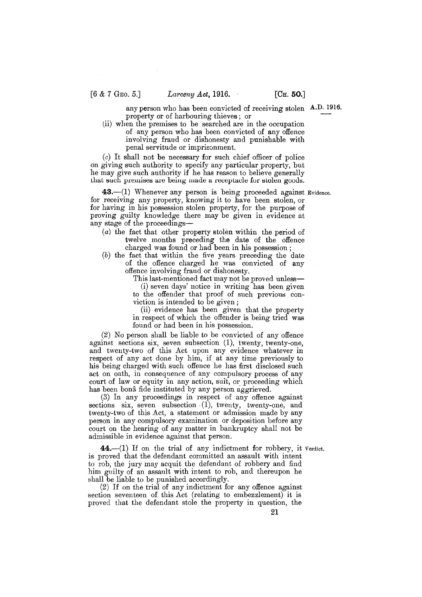any person who has been convicted of receiving stolen A.D. 1916. property or of harbouring thieves; or

(ii) when the premises to be searched are in the occupation of any person who has been convicted of any offence involving fraud or dishonesty and punishable with penal servitude or imprisonment.

(c) It shall not be necessary for such chief officer of police on giving such authority to any particular property, but he may give such authority if he has reason to believe generally that such premises are being made a receptacle for stolen goods.

43.—(1) Whenever any person is being proceeded against Evidence.

for receiving any property, knowing it to have been stolen, or for having in his possession stolen property, for the purpose of proving guilty knowledge there may be given in evidence at any stage of the proceedings—

- (a) the fact that other property stolen within the period of twelve months preceding the date of the offence charged was found or had been in his possession;
- (b) the fact that within the five years preceding the date of the offence charged he was convicted of any offence involving fraud or dishonesty.

This last-mentioned fact may not be proved unless—

(i) seven days' notice in writing has been given to the offender that proof of such previous conviction is intended to be given;

(ii) evidence has been given that the property in respect of which the offender is being tried was found or had been in his possession.

(2) No person shall be liable to he convicted of any offence against sections six, seven subsection (1), twenty, twenty-one, and twenty-two of this Act upon any evidence whatever in respect of any act done by him, if at any time previously to his being charged with such offence he has first disclosed such act on oath, in consequence of any compulsory process of any court of law or equity in any action, suit, or proceeding which has been bonâ fide instituted by any person aggrieved.

(3) In any proceedings in respect of any offence against sections six, seven subsection (1), twenty, twenty-one, and twenty-two of this Act, a statement or admission made by any person in any compulsory examination or deposition before any court on the hearing of any matter in bankruptcy shall not be admissible in evidence against that person.

44.—(1) If on the trial of any indictment for robbery, it Verdict. is proved that the defendant committed an assault with intent to rob, the jury may acquit the defendant of robbery and find him guilty of an assault with intent to rob, and thereupon he shall be liable to be punished accordingly.

(2) If on the trial of any indictment for any offence against section seventeen of this Act (relating to embezzlement) it is proved that the defendant stole the property in question, the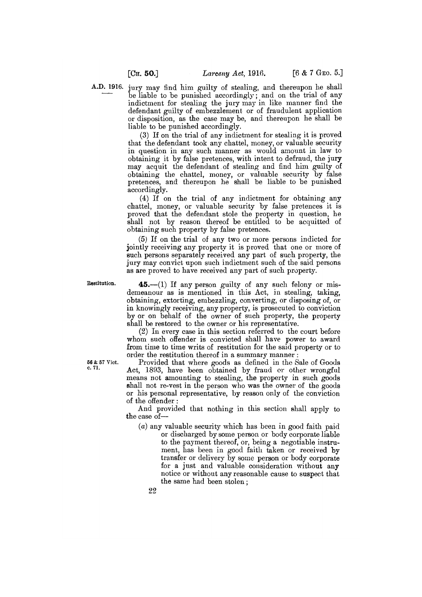A.D. 1916. jury may find him guilty of stealing, and thereupon he shall be liable to be punished accordingly; and on the trial of any indictment for stealing the jury may in like manner find the defendant guilty of embezzlement or of fraudulent application or disposition, as the case may be, and thereupon he shall be liable to be punished accordingly.

> (3) If on the trial of any indictment for stealing it is proved that the defendant took any chattel, money, or valuable security in question in any such manner as would amount in law to obtaining it by false pretences, with intent to defraud, the jury may acquit the defendant of stealing and find him guilty of obtaining the chattel, money, or valuable security by false pretences, and thereupon he shall be liable to be punished accordingly.

> (4) If on the trial of any indictment for obtaining any chattel, money, or valuable security by false pretences it is proved that the defendant stole the property in question, he shall not by reason thereof be entitled to be acquitted of obtaining such property by false pretences.

> (5) If on the trial of any two or more persons indicted for jointly receiving any property it is proved that one or more of such persons separately received any part of such property, the jury may convict upon such indictment such of the said persons as are proved to have received any part of such property.

Restitution.  $45-(1)$  If any person guilty of any such felony or misdemeanour as is mentioned in this Act, in stealing, taking, obtaining, extorting, embezzling, converting, or disposing of, or in knowingly receiving, any property, is prosecuted to conviction by or on behalf of the owner of such property, the property shall be restored to the owner or his representative.

> (2) In every case in this section referred to the court before whom such offender is convicted shall have power to award from time to time writs of restitution for the said property or to order the restitution thereof in a summary manner:

56 & 57 Vict. Provided that where goods as defined in the Sale of Goods c. 71. Act, 1893, have been obtained by fraud or other wrongful means not amounting to stealing, the property in such goods shall not re-vest in the person who was the owner of the goods or his personal representative, by reason only of the conviction of the offender:

And provided that nothing in this section shall apply to the case of—

(a) any valuable security which has been in good faith paid or discharged by some person or body corporate liable to the payment thereof, or, being a negotiable instrument, has been in good faith taken or received by transfer or delivery by some person or body corporate for a just and valuable consideration without any notice or without any reasonable cause to suspect that the same had been stolen;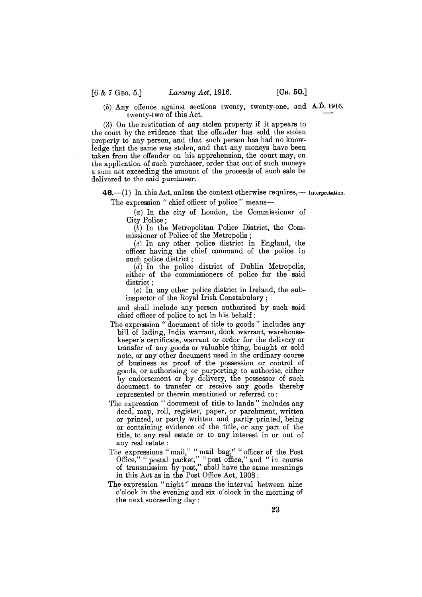(b) Any offence against sections twenty, twenty-one, and A.D. 1916. twenty-two of this Act.

(3) On the restitution of any stolen property if it appears to the court by the evidence that the offender has sold the stolen property to any person, and that such person has had no knowledge that the same was stolen, and that any moneys have been taken from the offender on his apprehension, the court may, on the application of such purchaser, order that out of such moneys a sum not exceeding the amount of the proceeds of such sale be delivered to the said purchaser.

**46.**—(1) In this Act, unless the context otherwise requires,— Interpretation. The expression "chief officer of police" means-

(a) In the city of London, the Commissioner of City Police;

 $(b)$  In the Metropolitan Police District, the Commissioner of Police of the Metropolis;

 $(c)$  In any other police district in England, the officer having the chief command of the police in such police district;

(d) In the police district of Dublin Metropolis, either of the commissioners of police for the said district;

(e) In any other police district in Ireland, the subinspector of the Royal Irish Constabulary;

and shall include any person authorised by such said chief officer of police to act in his behalf:

- The expression "document of title to goods" includes any bill of lading, India warrant, dock warrant, warehousekeeper's certificate, warrant or order for the delivery or transfer of any goods or valuable thing, bought or sold note, or any other document used in the ordinary course of business as proof of the possession or control of goods, or authorising or purporting to authorise, either by endorsement or by delivery, the possessor of such document to transfer or receive any goods thereby represented or therein mentioned or referred to:
- The expression "document of title to lands" includes any deed, map, roll, register, paper, or parchment, written or printed, or partly written and partly printed, being or containing evidence of the title, or any part of the title, to any real estate or to any interest in or out of any real estate
- The expressions "mail," "mail bag," "officer of the Post Office," "postal packet," "post office," and "in course of transmission by post," shall have the same meanings in this Act as in the Post Office Act, 1908:
- The expression "night" means the interval between nine o'clock in the evening and six o'clock in the morning of the next succeeding day: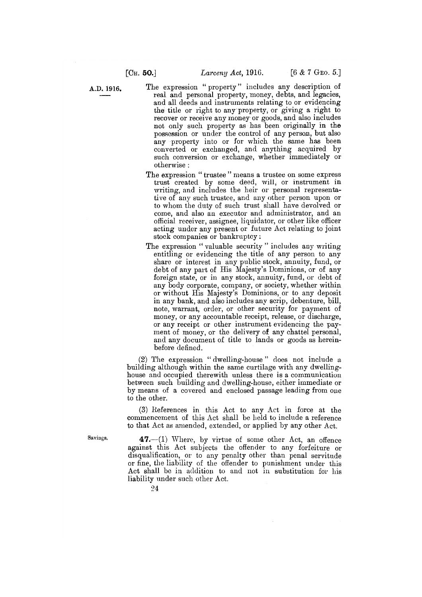- A.D. 1916. The expression "property" includes any description of real and personal property, money, debts, and legacies, and all deeds and instruments relating to or evidencing the title or right to any property, or giving a right to recover or receive any money or goods, and also includes not only such property as has been originally in the possession or under the control of any person, but also any property into or for which the same has been converted or exchanged, and anything acquired by such conversion or exchange, whether immediately or otherwise
	- The expression "trustee" means a trustee on some express trust created by some deed, will, or instrument in writing, and includes the heir or personal representative of any such trustee, and any other person upon or to whom the duty of such trust shall have devolved or come, and also an executor and administrator, and an official receiver, assignee, liquidator, or other like officer acting under any present or future Act relating to joint stock companies or bankruptcy:
	- The expression "valuable security" includes any writing entitling or evidencing the title of any person to any share or interest in any public stock, annuity, fund, or debt of any part of His Majesty's Dominions, or of any foreign state, or in any stock, annuity, fund, or debt of any body corporate, company, or society, whether within or without His Majesty's Dominions, or to any deposit in any bank, and also includes any scrip, debenture, bill, note, warrant, order, or other security for payment of money, or any accountable receipt, release, or discharge, or any receipt or other instrument evidencing the payment of money, or the delivery of any chattel personal, and any document of title to lands or goods as hereinbefore defined.

(2) The expression "dwelling-house" does not include a building although within the same curtilage with any dwellinghouse and occupied therewith unless there is a communication between such building and dwelling-house, either immediate or by means of a covered and enclosed passage leading from one to the other.

(3) References in this Act to any Act in force at the commencement of this Act shall be held to include a reference to that Act as amended, extended, or applied by any other Act.

Savings.  $47 - (1)$  Where, by virtue of some other Act, an offence against this Act subjects the offender to any forfeiture or disqualification, or to any penalty other than penal servitude or fine, the liability of the offender to punishment under this Act shall be in addition to and not in substitution for his liability under such other Act.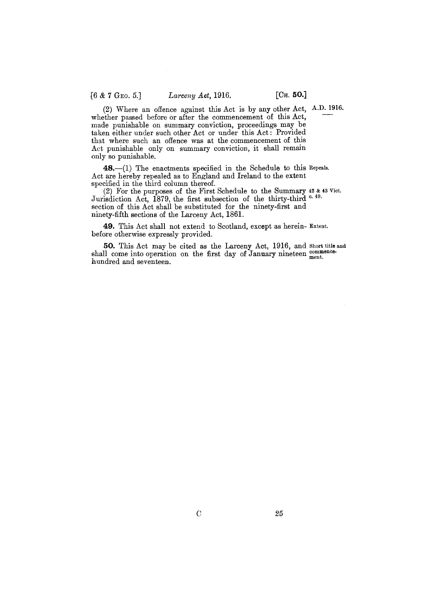(2) Where an offence against this Act is by any other Act, A.D. 1916. whether passed before or after the commencement of this Act, made punishable on summary conviction, proceedings may he taken either under such other Act or under this Act: Provided that where such an offence was at the commencement of this Act punishable only on summary conviction, it shall remain only so punishable.

48,—(1) The enactments specified in the Schedule to this Repeals. Act are hereby repealed as to England and Ireland to the extent specified in the third column thereof.

(2) For the purposes of the First Schedule to the Summary  $42 \times 43$  Vict. Jurisdiction Act,  $\overline{1879}$ , the first subsection of the thirty-third <sup>c. 49</sup>. section of this Act shall be substituted for the ninety-first and ninety-fifth sections of the Larceny Act, 1861.

49. This Act shall not extend to Scotland, except as herein- Extent. before otherwise expressly provided.

50. This Act may be cited as the Larceny Act, 1916, and Short title and shall come into operation on the first day of January nineteen commence hundred and seventeen.

C  $25$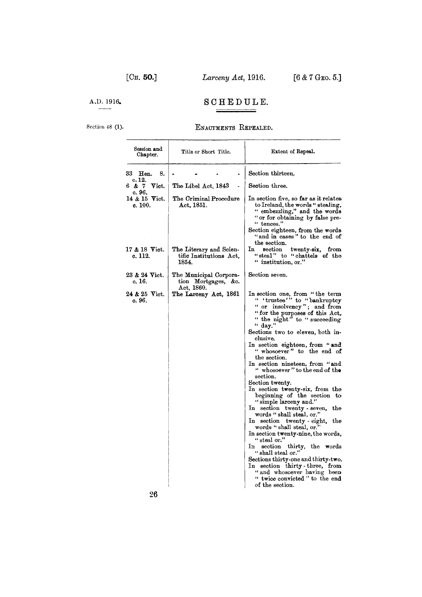c. 96.

c. 112.

c. 16.

c. 96.

## AD. 1916.

## Section 48 (1).

# ENACTMENTS REPEALED.

SCHEDULE.

### Session and Title or Short Title. Extent of Repeal. 33 Hen. 8. Section thirteen. c. 12.<br>6 & 7 Vict. Section three. The Libel Act, 1843  $\overline{a}$ 14 & 15 Vict. The Criminal Procedure In section five, so far as it relates  $c. 100.$ Act, 1851. to Ireland, the words" stealing, embezzling," and the words "or for obtaining by false pre-" tences." Section eighteen, from the words "and in cases" to the end of the section. 17 & 18 Vict. The Literary and Scien-In section twenty-six, from "steal" to "chattels of the<br>"institution, or." tific Institutions Act, 1854. 23 & 24 Vict. The Municipal Corpora-Section seven. tion Mortgages, &c. Act, 1860. In section one, from "the term 24 & 25 Vict. The Larceny Act, 1861 'trustee'" to "bankruptcy or insolvency"; and from "for the purposes of this Act, the night" to " succeeding day."

Sections two to eleven, both inelusive.

In section eighteen, from "and whosoever" to the end of the section.

In section nineteen, from "and whosoever" to the end of the section.

Section twenty.

- In section twenty-six, from the beginning of the section "simple larceny and."
- In section twenty seven, the words "shall steal, or."
- In section twenty eight, the words "shall steal, or."
- In section twenty-nine, the words, "steal or."
- In section thirty, the words "shall steal or."
- Sections thirty-one and thirty-two. In section thirty - three, from " and whosoever having been twice convicted ' to the end of the section.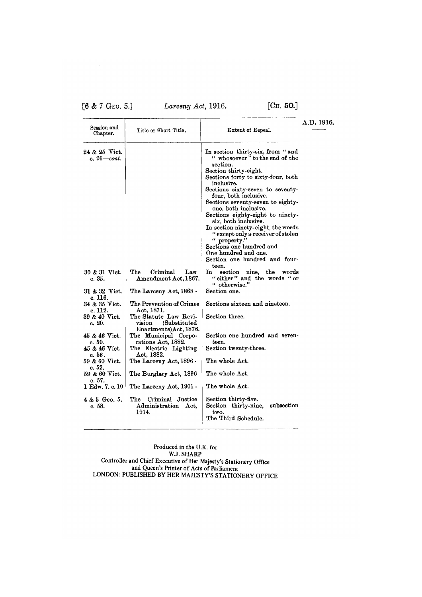$[6 & 7 G_{E0.5}]$ 

Session and<br>Chapter.

 $Lareeny Act, 1916.$  [CH. 50.]

ī

 $\hat{\mathcal{A}}$ 

Title or Short Title. Extent of Repeal. A.D. 1916. the end of the

| 24 & 25 Vict.            |                                            | In section thirty-six, from " and<br>" whosoever" to the end of the |
|--------------------------|--------------------------------------------|---------------------------------------------------------------------|
| c. $96$ - <i>cont</i> .  |                                            | section.                                                            |
|                          |                                            | Section thirty-eight.                                               |
|                          |                                            | Sections forty to sixty-four, both                                  |
|                          |                                            | inclusive.                                                          |
|                          |                                            | Sections sixty-seven to seventy-                                    |
|                          |                                            | four, both inclusive.                                               |
|                          |                                            | Sections seventy-seven to eighty-<br>one, both inclusive.           |
|                          |                                            | Sections eighty-eight to ninety-<br>six, both inclusive.            |
|                          |                                            | In section ninety-eight, the words                                  |
|                          |                                            | " except only a receiver of stolen                                  |
|                          |                                            | " property."<br>Sections one hundred and                            |
|                          |                                            | One hundred and one.                                                |
|                          |                                            | Section one hundred and four-                                       |
|                          |                                            | teen.                                                               |
| 30 & 31 Vict.            | The<br>Criminal<br>$\mathbf{Law}$          | section nine, the<br>In<br>words                                    |
| c. 35.                   | Amendment Act, 1867.                       | "either" and the words "or                                          |
|                          |                                            | " otherwise."                                                       |
| 31 & 32 Vict.<br>c. 116. | The Larceny Act, 1868 -                    | Section one.                                                        |
| 34 & 35 Vict.            | The Prevention of Crimes                   | Sections sixteen and nineteen.                                      |
| c. 112.                  | Act, 1871.                                 |                                                                     |
| 39 & 40 Vict.            | The Statute Law Revi-                      | Section three.                                                      |
| c. 20.                   | (Substituted)<br>vision                    |                                                                     |
|                          | Enactments)Act, 1876.                      | Section one hundred and seven-                                      |
| 45 & 46 Vict.<br>c. 50.  | The Municipal Corpo-<br>rations Act, 1882. | teen.                                                               |
| 45 & 46 Vict.            | The Electric Lighting                      | Section twenty-three.                                               |
| c. 56.                   | Act, 1882.                                 |                                                                     |
| 59 & 60 Vict.            | The Larceny Act, 1896 -                    | The whole Act.                                                      |
| c. 52.                   |                                            |                                                                     |
| 59 & 60 Vict.<br>c.57.   | The Burglary Act, 1896                     | The whole Act.                                                      |
| $1$ Edw. 7. c. $10$      | The Larceny Act, 1901 -                    | The whole Act.                                                      |
| 4 & 5 Geo. 5.            | $\mathbf{The}$<br>Criminal Justice         | Section thirty-five.                                                |
| c. 58.                   | Administration<br>Act.                     | subsection<br>Section thirty-nine,                                  |
|                          | 1914.                                      | two.                                                                |
|                          |                                            | The Third Schedule.                                                 |
|                          |                                            |                                                                     |

Produced in the U.K. for W.J. SHARP Controller and Chief Executive of Her Majesty's Stationery Office and Queen's Printer of Acts of Parliament LONDON: PUBLISHED BY HER MAJESTY'S STATIONERY OFFICE